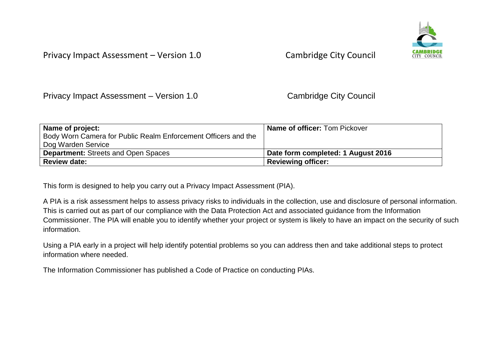

Privacy Impact Assessment – Version 1.0 Cambridge City Council

| Name of project:                                               | <b>Name of officer: Tom Pickover</b> |
|----------------------------------------------------------------|--------------------------------------|
| Body Worn Camera for Public Realm Enforcement Officers and the |                                      |
| Dog Warden Service                                             |                                      |
| <b>Department: Streets and Open Spaces</b>                     | Date form completed: 1 August 2016   |
| <b>Review date:</b>                                            | <b>Reviewing officer:</b>            |

This form is designed to help you carry out a Privacy Impact Assessment (PIA).

A PIA is a risk assessment helps to assess privacy risks to individuals in the collection, use and disclosure of personal information. This is carried out as part of our compliance with the Data Protection Act and associated guidance from the Information Commissioner. The PIA will enable you to identify whether your project or system is likely to have an impact on the security of such information.

Using a PIA early in a project will help identify potential problems so you can address then and take additional steps to protect information where needed.

The Information Commissioner has published a Code of Practice on conducting PIAs.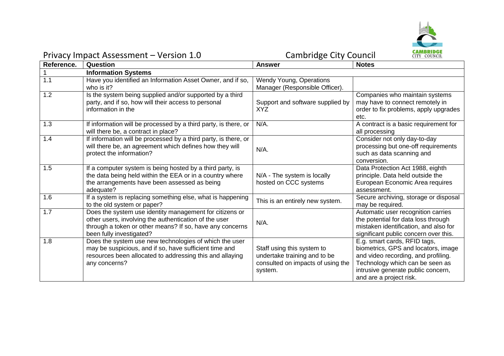

### Privacy Impact Assessment – Version 1.0 Cambridge City Council **Reference. Question Answer Notes** 1 **Information Systems** 1.1 Have you identified an Information Asset Owner, and if so, who is it? Wendy Young, Operations Manager (Responsible Officer). 1.2 Is the system being supplied and/or supported by a third party, and if so, how will their access to personal information in the Support and software supplied by XYZ Companies who maintain systems may have to connect remotely in order to fix problems, apply upgrades etc. 1.3 **If information will be processed by a third party, is there, or** will there be, a contract in place? N/A. N/A contract is a basic requirement for all processing 1.4 If information will be processed by a third party, is there, or will there be, an agreement which defines how they will will there be, an agreement which defines now they will  $N/A$ .<br>protect the information? Consider not only day-to-day processing but one-off requirements such as data scanning and conversion. 1.5 **If a computer system is being hosted by a third party, is** the data being held within the EEA or in a country where the arrangements have been assessed as being adequate? N/A - The system is locally hosted on CCC systems Data Protection Act 1988, eighth principle. Data held outside the European Economic Area requires assessment. 1.6 If a system is replacing something else, what is happening It a system is replacing something eise, what is nappening This is an entirely new system.<br>to the old system or paper? Secure archiving, storage or disposal may be required. 1.7 Does the system use identity management for citizens or other users, involving the authentication of the user through a token or other means? If so, have any concerns been fully investigated? N/A. Automatic user recognition carries the potential for data loss through mistaken identification, and also for significant public concern over this. 1.8 Does the system use new technologies of which the user may be suspicious, and if so, have sufficient time and resources been allocated to addressing this and allaying any concerns? Staff using this system to undertake training and to be consulted on impacts of using the system. E.g. smart cards, RFID tags, biometrics, GPS and locators, image and video recording, and profiling. Technology which can be seen as intrusive generate public concern, and are a project risk.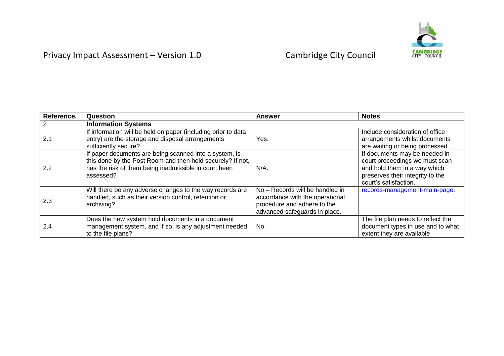

| Reference. | Question                                                                                                                                                                                   | <b>Answer</b>                                                                                                                      | <b>Notes</b>                                                                                                                                                 |
|------------|--------------------------------------------------------------------------------------------------------------------------------------------------------------------------------------------|------------------------------------------------------------------------------------------------------------------------------------|--------------------------------------------------------------------------------------------------------------------------------------------------------------|
|            | <b>Information Systems</b>                                                                                                                                                                 |                                                                                                                                    |                                                                                                                                                              |
| 2.1        | If information will be held on paper (including prior to data<br>entry) are the storage and disposal arrangements<br>sufficiently secure?                                                  | Yes.                                                                                                                               | Include consideration of office<br>arrangements whilst documents<br>are waiting or being processed.                                                          |
| 2.2        | If paper documents are being scanned into a system, is<br>this done by the Post Room and then held securely? If not,<br>has the risk of them being inadmissible in court been<br>assessed? | $N/A$ .                                                                                                                            | If documents may be needed in<br>court proceedings we must scan<br>and hold them in a way which<br>preserves their integrity to the<br>court's satisfaction. |
| 2.3        | Will there be any adverse changes to the way records are<br>handled, such as their version control, retention or<br>archiving?                                                             | No - Records will be handled in<br>accordance with the operational<br>procedure and adhere to the<br>advanced safeguards in place. | records-management-main-page.                                                                                                                                |
| 2.4        | Does the new system hold documents in a document<br>management system, and if so, is any adjustment needed<br>to the file plans?                                                           | No.                                                                                                                                | The file plan needs to reflect the<br>document types in use and to what<br>extent they are available                                                         |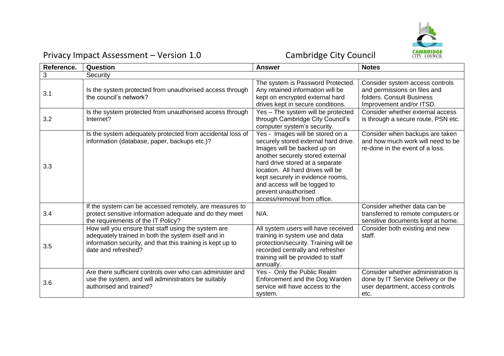

| Reference. | Question                                                                                                                                                                                        | <b>Answer</b>                                                                                                                                                                                                                                                                                                                                  | <b>Notes</b>                                                                                                             |
|------------|-------------------------------------------------------------------------------------------------------------------------------------------------------------------------------------------------|------------------------------------------------------------------------------------------------------------------------------------------------------------------------------------------------------------------------------------------------------------------------------------------------------------------------------------------------|--------------------------------------------------------------------------------------------------------------------------|
| 3          | Security                                                                                                                                                                                        |                                                                                                                                                                                                                                                                                                                                                |                                                                                                                          |
| 3.1        | Is the system protected from unauthorised access through<br>the council's network?                                                                                                              | The system is Password Protected.<br>Any retained information will be<br>kept on encrypted external hard<br>drives kept in secure conditions.                                                                                                                                                                                                  | Consider system access controls<br>and permissions on files and<br>folders. Consult Business<br>Improvement and/or ITSD. |
| 3.2        | Is the system protected from unauthorised access through<br>Internet?                                                                                                                           | Yes - The system will be protected<br>through Cambridge City Council's<br>computer system's security.                                                                                                                                                                                                                                          | Consider whether external access<br>is through a secure route, PSN etc.                                                  |
| 3.3        | Is the system adequately protected from accidental loss of<br>information (database, paper, backups etc.)?                                                                                      | Yes - Images will be stored on a<br>securely stored external hard drive.<br>Images will be backed up on<br>another securely stored external<br>hard drive stored at a separate<br>location. All hard drives will be<br>kept securely in evidence rooms,<br>and access will be logged to<br>prevent unauthorised<br>access/removal from office. | Consider when backups are taken<br>and how much work will need to be<br>re-done in the event of a loss.                  |
| 3.4        | If the system can be accessed remotely, are measures to<br>protect sensitive information adequate and do they meet<br>the requirements of the IT Policy?                                        | $N/A$ .                                                                                                                                                                                                                                                                                                                                        | Consider whether data can be<br>transferred to remote computers or<br>sensitive documents kept at home.                  |
| 3.5        | How will you ensure that staff using the system are<br>adequately trained in both the system itself and in<br>information security, and that this training is kept up to<br>date and refreshed? | All system users will have received<br>training in system use and data<br>protection/security. Training will be<br>recorded centrally and refresher<br>training will be provided to staff<br>annually.                                                                                                                                         | Consider both existing and new<br>staff.                                                                                 |
| 3.6        | Are there sufficient controls over who can administer and<br>use the system, and will administrators be suitably<br>authorised and trained?                                                     | Yes - Only the Public Realm<br>Enforcement and the Dog Warden<br>service will have access to the<br>system.                                                                                                                                                                                                                                    | Consider whether administration is<br>done by IT Service Delivery or the<br>user department, access controls<br>etc.     |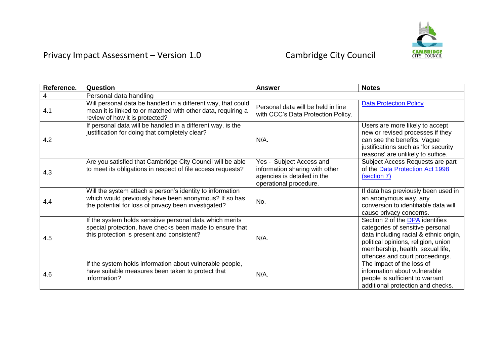

| Reference. | Question                                                                                                                                                                   | <b>Answer</b>                                                                                                       | <b>Notes</b>                                                                                                                                                                                                                |
|------------|----------------------------------------------------------------------------------------------------------------------------------------------------------------------------|---------------------------------------------------------------------------------------------------------------------|-----------------------------------------------------------------------------------------------------------------------------------------------------------------------------------------------------------------------------|
| 4          | Personal data handling                                                                                                                                                     |                                                                                                                     |                                                                                                                                                                                                                             |
| 4.1        | Will personal data be handled in a different way, that could<br>mean it is linked to or matched with other data, requiring a<br>review of how it is protected?             | Personal data will be held in line<br>with CCC's Data Protection Policy.                                            | <b>Data Protection Policy</b>                                                                                                                                                                                               |
| 4.2        | If personal data will be handled in a different way, is the<br>justification for doing that completely clear?                                                              | $N/A$ .                                                                                                             | Users are more likely to accept<br>new or revised processes if they<br>can see the benefits. Vague<br>justifications such as 'for security<br>reasons' are unlikely to suffice.                                             |
| 4.3        | Are you satisfied that Cambridge City Council will be able<br>to meet its obligations in respect of file access requests?                                                  | Yes - Subject Access and<br>information sharing with other<br>agencies is detailed in the<br>operational procedure. | Subject Access Requests are part<br>of the Data Protection Act 1998<br>(section 7)                                                                                                                                          |
| 4.4        | Will the system attach a person's identity to information<br>which would previously have been anonymous? If so has<br>the potential for loss of privacy been investigated? | No.                                                                                                                 | If data has previously been used in<br>an anonymous way, any<br>conversion to identifiable data will<br>cause privacy concerns.                                                                                             |
| 4.5        | If the system holds sensitive personal data which merits<br>special protection, have checks been made to ensure that<br>this protection is present and consistent?         | N/A.                                                                                                                | Section 2 of the DPA identifies<br>categories of sensitive personal<br>data including racial & ethnic origin,<br>political opinions, religion, union<br>membership, health, sexual life,<br>offences and court proceedings. |
| 4.6        | If the system holds information about vulnerable people,<br>have suitable measures been taken to protect that<br>information?                                              | $N/A$ .                                                                                                             | The impact of the loss of<br>information about vulnerable<br>people is sufficient to warrant<br>additional protection and checks.                                                                                           |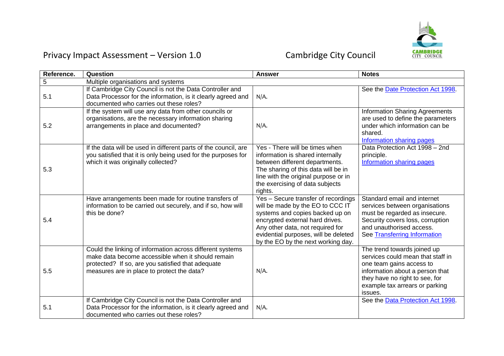

| Reference. | Question                                                                                                                                                                                                          | <b>Answer</b>                                                                                                                                                                                                                                                   | <b>Notes</b>                                                                                                                                                                                                   |
|------------|-------------------------------------------------------------------------------------------------------------------------------------------------------------------------------------------------------------------|-----------------------------------------------------------------------------------------------------------------------------------------------------------------------------------------------------------------------------------------------------------------|----------------------------------------------------------------------------------------------------------------------------------------------------------------------------------------------------------------|
| 5          | Multiple organisations and systems                                                                                                                                                                                |                                                                                                                                                                                                                                                                 |                                                                                                                                                                                                                |
| 5.1        | If Cambridge City Council is not the Data Controller and<br>Data Processor for the information, is it clearly agreed and<br>documented who carries out these roles?                                               | N/A.                                                                                                                                                                                                                                                            | See the Date Protection Act 1998.                                                                                                                                                                              |
| 5.2        | If the system will use any data from other councils or<br>organisations, are the necessary information sharing<br>arrangements in place and documented?                                                           | N/A.                                                                                                                                                                                                                                                            | <b>Information Sharing Agreements</b><br>are used to define the parameters<br>under which information can be<br>shared.<br>Information sharing pages                                                           |
| 5.3        | If the data will be used in different parts of the council, are<br>you satisfied that it is only being used for the purposes for<br>which it was originally collected?                                            | Yes - There will be times when<br>information is shared internally<br>between different departments.<br>The sharing of this data will be in<br>line with the original purpose or in<br>the exercising of data subjects<br>rights.                               | Data Protection Act 1998 - 2nd<br>principle.<br>Information sharing pages                                                                                                                                      |
| 5.4        | Have arrangements been made for routine transfers of<br>information to be carried out securely, and if so, how will<br>this be done?                                                                              | Yes - Secure transfer of recordings<br>will be made by the EO to CCC IT<br>systems and copies backed up on<br>encrypted external hard drives.<br>Any other data, not required for<br>evidential purposes, will be deleted<br>by the EO by the next working day. | Standard email and internet<br>services between organisations<br>must be regarded as insecure.<br>Security covers loss, corruption<br>and unauthorised access.<br>See Transferring Information                 |
| 5.5        | Could the linking of information across different systems<br>make data become accessible when it should remain<br>protected? If so, are you satisfied that adequate<br>measures are in place to protect the data? | N/A.                                                                                                                                                                                                                                                            | The trend towards joined up<br>services could mean that staff in<br>one team gains access to<br>information about a person that<br>they have no right to see, for<br>example tax arrears or parking<br>issues. |
| 5.1        | If Cambridge City Council is not the Data Controller and<br>Data Processor for the information, is it clearly agreed and<br>documented who carries out these roles?                                               | N/A.                                                                                                                                                                                                                                                            | See the Data Protection Act 1998.                                                                                                                                                                              |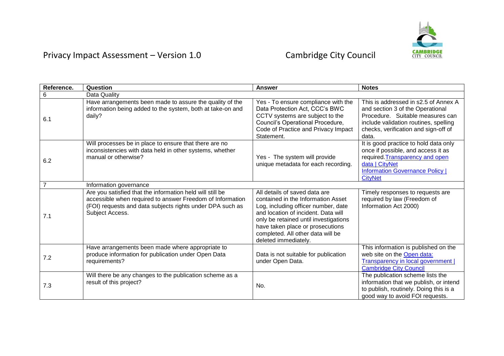

| Reference.     | Question                                                                                                                                                                                               | <b>Answer</b>                                                                                                                                                                                                                                                                               | <b>Notes</b>                                                                                                                                                                                           |
|----------------|--------------------------------------------------------------------------------------------------------------------------------------------------------------------------------------------------------|---------------------------------------------------------------------------------------------------------------------------------------------------------------------------------------------------------------------------------------------------------------------------------------------|--------------------------------------------------------------------------------------------------------------------------------------------------------------------------------------------------------|
| 6              | Data Quality                                                                                                                                                                                           |                                                                                                                                                                                                                                                                                             |                                                                                                                                                                                                        |
| 6.1            | Have arrangements been made to assure the quality of the<br>information being added to the system, both at take-on and<br>daily?                                                                       | Yes - To ensure compliance with the<br>Data Protection Act, CCC's BWC<br>CCTV systems are subject to the<br>Council's Operational Procedure,<br>Code of Practice and Privacy Impact<br>Statement.                                                                                           | This is addressed in s2.5 of Annex A<br>and section 3 of the Operational<br>Procedure. Suitable measures can<br>include validation routines, spelling<br>checks, verification and sign-off of<br>data. |
| 6.2            | Will processes be in place to ensure that there are no<br>inconsistencies with data held in other systems, whether<br>manual or otherwise?                                                             | Yes - The system will provide<br>unique metadata for each recording.                                                                                                                                                                                                                        | It is good practice to hold data only<br>once if possible, and access it as<br>required. Transparency and open<br>data   CityNet<br><b>Information Governance Policy</b>  <br><b>CityNet</b>           |
| $\overline{7}$ | Information governance                                                                                                                                                                                 |                                                                                                                                                                                                                                                                                             |                                                                                                                                                                                                        |
| 7.1            | Are you satisfied that the information held will still be<br>accessible when required to answer Freedom of Information<br>(FOI) requests and data subjects rights under DPA such as<br>Subject Access. | All details of saved data are<br>contained in the Information Asset<br>Log, including officer number, date<br>and location of incident. Data will<br>only be retained until investigations<br>have taken place or prosecutions<br>completed. All other data will be<br>deleted immediately. | Timely responses to requests are<br>required by law (Freedom of<br>Information Act 2000)                                                                                                               |
| 7.2            | Have arrangements been made where appropriate to<br>produce information for publication under Open Data<br>requirements?                                                                               | Data is not suitable for publication<br>under Open Data.                                                                                                                                                                                                                                    | This information is published on the<br>web site on the Open data:<br><b>Transparency in local government  </b><br><b>Cambridge City Council</b>                                                       |
| 7.3            | Will there be any changes to the publication scheme as a<br>result of this project?                                                                                                                    | No.                                                                                                                                                                                                                                                                                         | The publication scheme lists the<br>information that we publish, or intend<br>to publish, routinely. Doing this is a<br>good way to avoid FOI requests.                                                |